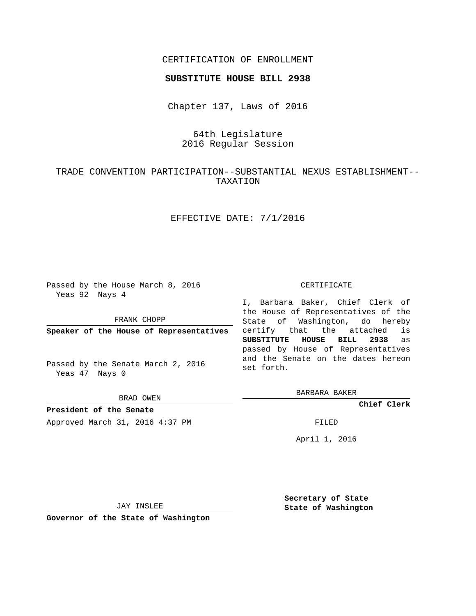## CERTIFICATION OF ENROLLMENT

### **SUBSTITUTE HOUSE BILL 2938**

Chapter 137, Laws of 2016

# 64th Legislature 2016 Regular Session

# TRADE CONVENTION PARTICIPATION--SUBSTANTIAL NEXUS ESTABLISHMENT-- TAXATION

## EFFECTIVE DATE: 7/1/2016

Passed by the House March 8, 2016 Yeas 92 Nays 4

FRANK CHOPP

**Speaker of the House of Representatives**

Passed by the Senate March 2, 2016 Yeas 47 Nays 0

BRAD OWEN

**President of the Senate** Approved March 31, 2016 4:37 PM FILED

#### CERTIFICATE

I, Barbara Baker, Chief Clerk of the House of Representatives of the State of Washington, do hereby certify that the attached is **SUBSTITUTE HOUSE BILL 2938** as passed by House of Representatives and the Senate on the dates hereon set forth.

BARBARA BAKER

**Chief Clerk**

April 1, 2016

JAY INSLEE

**Governor of the State of Washington**

**Secretary of State State of Washington**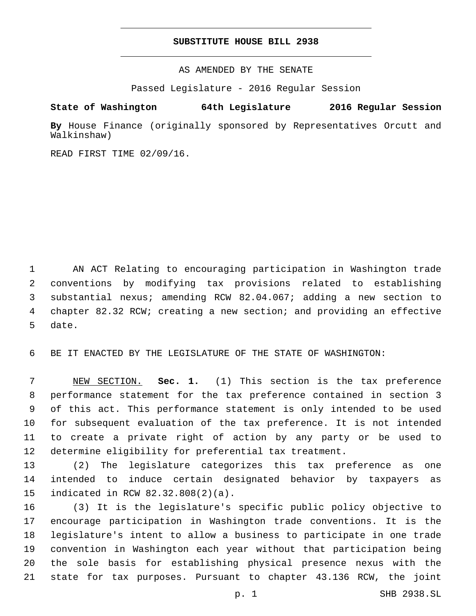### **SUBSTITUTE HOUSE BILL 2938**

AS AMENDED BY THE SENATE

Passed Legislature - 2016 Regular Session

# **State of Washington 64th Legislature 2016 Regular Session**

**By** House Finance (originally sponsored by Representatives Orcutt and Walkinshaw)

READ FIRST TIME 02/09/16.

 AN ACT Relating to encouraging participation in Washington trade conventions by modifying tax provisions related to establishing substantial nexus; amending RCW 82.04.067; adding a new section to chapter 82.32 RCW; creating a new section; and providing an effective 5 date.

BE IT ENACTED BY THE LEGISLATURE OF THE STATE OF WASHINGTON:

 NEW SECTION. **Sec. 1.** (1) This section is the tax preference performance statement for the tax preference contained in section 3 of this act. This performance statement is only intended to be used for subsequent evaluation of the tax preference. It is not intended to create a private right of action by any party or be used to determine eligibility for preferential tax treatment.

 (2) The legislature categorizes this tax preference as one intended to induce certain designated behavior by taxpayers as 15 indicated in RCW 82.32.808(2)(a).

 (3) It is the legislature's specific public policy objective to encourage participation in Washington trade conventions. It is the legislature's intent to allow a business to participate in one trade convention in Washington each year without that participation being the sole basis for establishing physical presence nexus with the state for tax purposes. Pursuant to chapter 43.136 RCW, the joint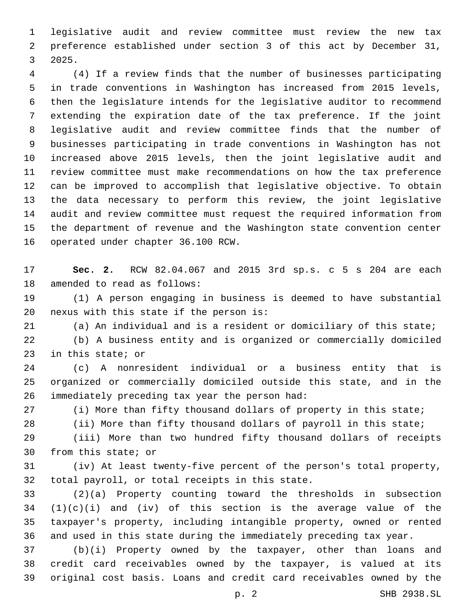legislative audit and review committee must review the new tax preference established under section 3 of this act by December 31, 3 2025.

 (4) If a review finds that the number of businesses participating in trade conventions in Washington has increased from 2015 levels, then the legislature intends for the legislative auditor to recommend extending the expiration date of the tax preference. If the joint legislative audit and review committee finds that the number of businesses participating in trade conventions in Washington has not increased above 2015 levels, then the joint legislative audit and review committee must make recommendations on how the tax preference can be improved to accomplish that legislative objective. To obtain the data necessary to perform this review, the joint legislative audit and review committee must request the required information from the department of revenue and the Washington state convention center 16 operated under chapter 36.100 RCW.

 **Sec. 2.** RCW 82.04.067 and 2015 3rd sp.s. c 5 s 204 are each 18 amended to read as follows:

 (1) A person engaging in business is deemed to have substantial nexus with this state if the person is:

(a) An individual and is a resident or domiciliary of this state;

 (b) A business entity and is organized or commercially domiciled 23 in this state; or

 (c) A nonresident individual or a business entity that is organized or commercially domiciled outside this state, and in the immediately preceding tax year the person had:

(i) More than fifty thousand dollars of property in this state;

28 (ii) More than fifty thousand dollars of payroll in this state;

 (iii) More than two hundred fifty thousand dollars of receipts 30 from this state; or

 (iv) At least twenty-five percent of the person's total property, 32 total payroll, or total receipts in this state.

 (2)(a) Property counting toward the thresholds in subsection  $(1)(c)(i)$  and  $(iv)$  of this section is the average value of the taxpayer's property, including intangible property, owned or rented and used in this state during the immediately preceding tax year.

 (b)(i) Property owned by the taxpayer, other than loans and credit card receivables owned by the taxpayer, is valued at its original cost basis. Loans and credit card receivables owned by the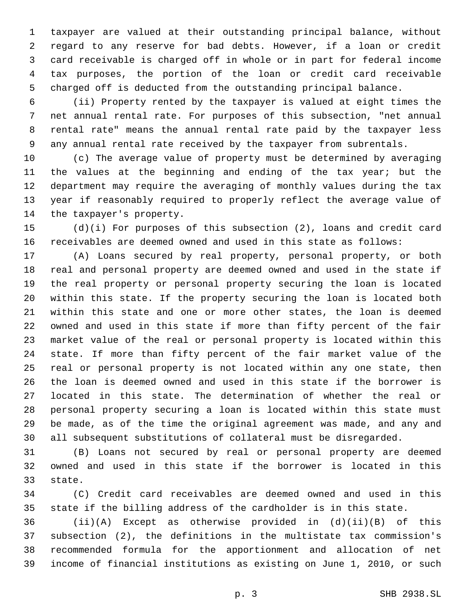taxpayer are valued at their outstanding principal balance, without regard to any reserve for bad debts. However, if a loan or credit card receivable is charged off in whole or in part for federal income tax purposes, the portion of the loan or credit card receivable charged off is deducted from the outstanding principal balance.

 (ii) Property rented by the taxpayer is valued at eight times the net annual rental rate. For purposes of this subsection, "net annual rental rate" means the annual rental rate paid by the taxpayer less any annual rental rate received by the taxpayer from subrentals.

 (c) The average value of property must be determined by averaging 11 the values at the beginning and ending of the tax year; but the department may require the averaging of monthly values during the tax year if reasonably required to properly reflect the average value of 14 the taxpayer's property.

 (d)(i) For purposes of this subsection (2), loans and credit card receivables are deemed owned and used in this state as follows:

 (A) Loans secured by real property, personal property, or both real and personal property are deemed owned and used in the state if the real property or personal property securing the loan is located within this state. If the property securing the loan is located both within this state and one or more other states, the loan is deemed owned and used in this state if more than fifty percent of the fair market value of the real or personal property is located within this state. If more than fifty percent of the fair market value of the real or personal property is not located within any one state, then the loan is deemed owned and used in this state if the borrower is located in this state. The determination of whether the real or personal property securing a loan is located within this state must be made, as of the time the original agreement was made, and any and all subsequent substitutions of collateral must be disregarded.

 (B) Loans not secured by real or personal property are deemed owned and used in this state if the borrower is located in this 33 state.

 (C) Credit card receivables are deemed owned and used in this state if the billing address of the cardholder is in this state.

 (ii)(A) Except as otherwise provided in (d)(ii)(B) of this subsection (2), the definitions in the multistate tax commission's recommended formula for the apportionment and allocation of net income of financial institutions as existing on June 1, 2010, or such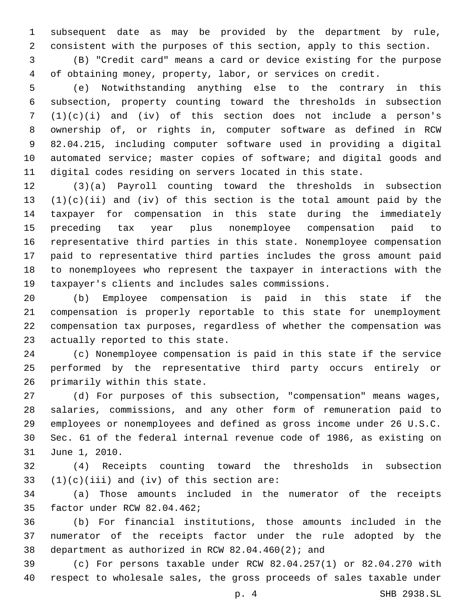subsequent date as may be provided by the department by rule, consistent with the purposes of this section, apply to this section.

 (B) "Credit card" means a card or device existing for the purpose of obtaining money, property, labor, or services on credit.

 (e) Notwithstanding anything else to the contrary in this subsection, property counting toward the thresholds in subsection (1)(c)(i) and (iv) of this section does not include a person's ownership of, or rights in, computer software as defined in RCW 82.04.215, including computer software used in providing a digital automated service; master copies of software; and digital goods and digital codes residing on servers located in this state.

 (3)(a) Payroll counting toward the thresholds in subsection  $(1)(c)(ii)$  and  $(iv)$  of this section is the total amount paid by the taxpayer for compensation in this state during the immediately preceding tax year plus nonemployee compensation paid to representative third parties in this state. Nonemployee compensation paid to representative third parties includes the gross amount paid to nonemployees who represent the taxpayer in interactions with the taxpayer's clients and includes sales commissions.

 (b) Employee compensation is paid in this state if the compensation is properly reportable to this state for unemployment compensation tax purposes, regardless of whether the compensation was 23 actually reported to this state.

 (c) Nonemployee compensation is paid in this state if the service performed by the representative third party occurs entirely or 26 primarily within this state.

 (d) For purposes of this subsection, "compensation" means wages, salaries, commissions, and any other form of remuneration paid to employees or nonemployees and defined as gross income under 26 U.S.C. Sec. 61 of the federal internal revenue code of 1986, as existing on 31 June 1, 2010.

 (4) Receipts counting toward the thresholds in subsection  $(1)(c)(iii)$  and (iv) of this section are:

 (a) Those amounts included in the numerator of the receipts 35 factor under RCW 82.04.462;

 (b) For financial institutions, those amounts included in the numerator of the receipts factor under the rule adopted by the 38 department as authorized in RCW  $82.04.460(2)$ ; and

 (c) For persons taxable under RCW 82.04.257(1) or 82.04.270 with respect to wholesale sales, the gross proceeds of sales taxable under

p. 4 SHB 2938.SL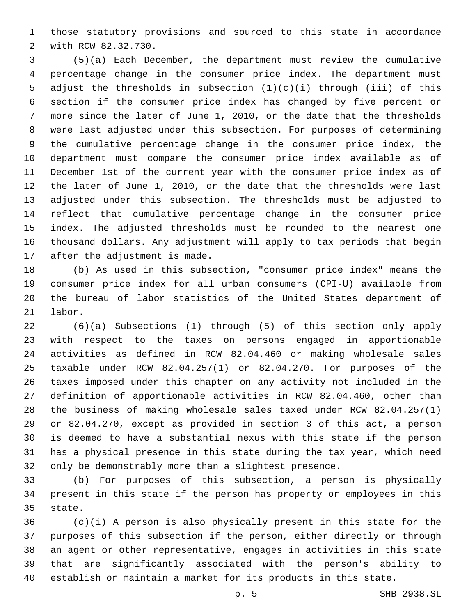those statutory provisions and sourced to this state in accordance with RCW 82.32.730.2

 (5)(a) Each December, the department must review the cumulative percentage change in the consumer price index. The department must 5 adjust the thresholds in subsection  $(1)(c)(i)$  through (iii) of this section if the consumer price index has changed by five percent or more since the later of June 1, 2010, or the date that the thresholds were last adjusted under this subsection. For purposes of determining the cumulative percentage change in the consumer price index, the department must compare the consumer price index available as of December 1st of the current year with the consumer price index as of the later of June 1, 2010, or the date that the thresholds were last adjusted under this subsection. The thresholds must be adjusted to reflect that cumulative percentage change in the consumer price index. The adjusted thresholds must be rounded to the nearest one thousand dollars. Any adjustment will apply to tax periods that begin 17 after the adjustment is made.

 (b) As used in this subsection, "consumer price index" means the consumer price index for all urban consumers (CPI-U) available from the bureau of labor statistics of the United States department of 21 labor.

 (6)(a) Subsections (1) through (5) of this section only apply with respect to the taxes on persons engaged in apportionable activities as defined in RCW 82.04.460 or making wholesale sales taxable under RCW 82.04.257(1) or 82.04.270. For purposes of the taxes imposed under this chapter on any activity not included in the definition of apportionable activities in RCW 82.04.460, other than the business of making wholesale sales taxed under RCW 82.04.257(1) or 82.04.270, except as provided in section 3 of this act, a person is deemed to have a substantial nexus with this state if the person has a physical presence in this state during the tax year, which need only be demonstrably more than a slightest presence.

 (b) For purposes of this subsection, a person is physically present in this state if the person has property or employees in this 35 state.

 (c)(i) A person is also physically present in this state for the purposes of this subsection if the person, either directly or through an agent or other representative, engages in activities in this state that are significantly associated with the person's ability to establish or maintain a market for its products in this state.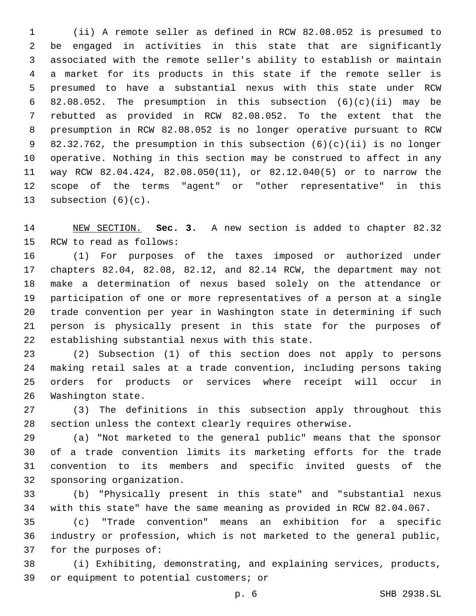(ii) A remote seller as defined in RCW 82.08.052 is presumed to be engaged in activities in this state that are significantly associated with the remote seller's ability to establish or maintain a market for its products in this state if the remote seller is presumed to have a substantial nexus with this state under RCW 82.08.052. The presumption in this subsection (6)(c)(ii) may be rebutted as provided in RCW 82.08.052. To the extent that the presumption in RCW 82.08.052 is no longer operative pursuant to RCW 82.32.762, the presumption in this subsection (6)(c)(ii) is no longer operative. Nothing in this section may be construed to affect in any way RCW 82.04.424, 82.08.050(11), or 82.12.040(5) or to narrow the scope of the terms "agent" or "other representative" in this 13 subsection  $(6)(c)$ .

 NEW SECTION. **Sec. 3.** A new section is added to chapter 82.32 15 RCW to read as follows:

 (1) For purposes of the taxes imposed or authorized under chapters 82.04, 82.08, 82.12, and 82.14 RCW, the department may not make a determination of nexus based solely on the attendance or participation of one or more representatives of a person at a single trade convention per year in Washington state in determining if such person is physically present in this state for the purposes of 22 establishing substantial nexus with this state.

 (2) Subsection (1) of this section does not apply to persons making retail sales at a trade convention, including persons taking orders for products or services where receipt will occur in 26 Washington state.

 (3) The definitions in this subsection apply throughout this section unless the context clearly requires otherwise.

 (a) "Not marketed to the general public" means that the sponsor of a trade convention limits its marketing efforts for the trade convention to its members and specific invited guests of the 32 sponsoring organization.

 (b) "Physically present in this state" and "substantial nexus with this state" have the same meaning as provided in RCW 82.04.067.

 (c) "Trade convention" means an exhibition for a specific industry or profession, which is not marketed to the general public, 37 for the purposes of:

 (i) Exhibiting, demonstrating, and explaining services, products, 39 or equipment to potential customers; or